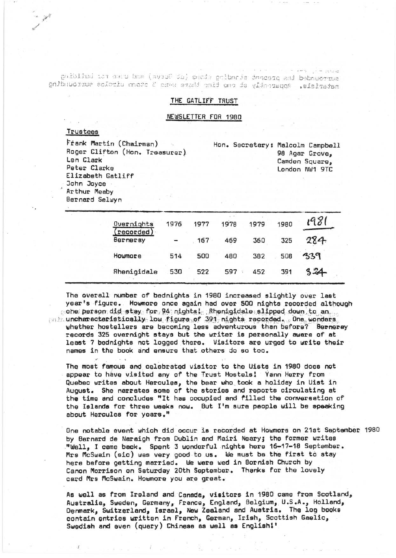politici ist aucu ban (avius sa) cucde polineis dascarq end bebauerius materials. Apparently of one time there were 2 stone uircles surrounding

### THE GATLIFF TRUST

#### NEWSLETTER FOR 1980

# Trustees

Frank Martin (Chairman) Roger Clifton (Hon. Treasurer) Len Clark Peter Clarke Elizabeth Gatliff John Joyce Arthur Meaby Bernard Selwyn

Hon. Secretary: Malcolm Campbell 98 Agar Grove, Camden Square, London NW1 9TC

| Overnights            | 1976                     | 1977 | 1978 | 1979 | 1980 |     |  |
|-----------------------|--------------------------|------|------|------|------|-----|--|
| recorded)<br>Berneray | $\overline{\phantom{a}}$ | 167  | 469  | 360  | 325  | 284 |  |
| Howmore               | 514                      | 500  | 480  | 382  | 508  | 339 |  |
| Rhenigidale           | 530                      | 522  | 597  | 452  | 391  | 24  |  |

The overall number of bednights in 1980 increased slightly over last year's figure. Howmore once again had over 500 nights recorded although cone person did stay for 94 nights! Rhenigidale slipped down to an minuncharacteristically low figure of 391 nights recorded. One wonders whether hostellers are becoming less adventurous than before? Berneray records 325 overnight stays but the writer is personally aware of at least 7 bednights not logged there. Visitors are urged to write their names in the book and ensure that others do so too.

The most famous and celebrated visitor to the Uists in 1980 does not appear to have visited any of the Trust Hostels! Yann Herry from Quebec writes about Hercules, the bear who took a holiday in Uist in<br>August. She narrates some of the stories and reports circulating at the time and concludes "It has occupied and filled the conversation of the Islands for three weeks now. But I'm sure people will be speaking about Hercules for years."

One notable event which did occur is recorded at Howmore on 21st September 1980 by Bernard de Naraigh from Dublin and Mairi Neary; the former writes "Well, I came back. Spent 3 wonderful nights here 16-17-18 September. Mrs McSwain (sic) was very good to us. We must be the first to stay here before getting married. We were wed in Bornish Church by Canon Morrison on Saturday 20th September. Thanks for the lovely card Mrs McSwain. Howmore you are great.

As well as from Ireland and Canada, visitors in 1980 came from Scotland, Australia, Sweden, Germany, France, England, Belgium, U.S.A., Holland, Denmark, Switzerland, Israel, New Zealand and Austria. The log books contain entries written in French, German, Irish, Scottish Gaelic, Swedish and even (query) Chinese as well as English!'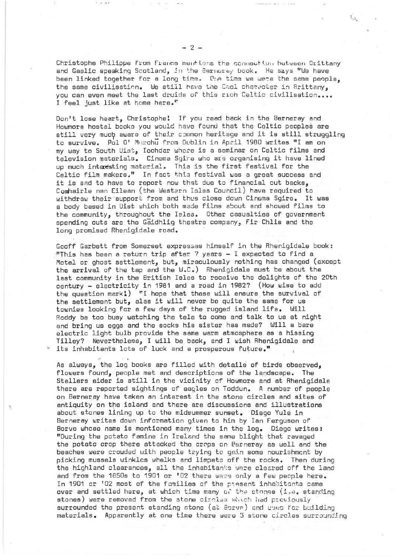Christophe Philippe from France mentions the connection between Orittany and Gaelic speaking Scotland, in the Berneray book. He says "We have been linked together for a long time. One time we were the same people, the same civilisation. We still have the Cael character in Brittany. you can even meet the last druids of this rich Celtic civilisation.... I feel just like at home here."

Don't lose heart, Christophe! If ypu read back in the Berneray and Howmore hostel books you would have found that the Celtic peoples are still very much aware of their common heritage and it is still struggling to survive. Pol O' Murchu from Dublin in Ap.cil 1980 writes "I am on my way to South Uist, Iochdar whore is a seminar on Celtic films and television materials. Cinema Sqire who are organising it have lined up much interesting material. This is the first festival for the Celtic film makers," In fact this festival was a great success and it is sad to have to report now that due to financial cut backs, Comhairle nan Eilean (the western bles Council) have required to withdraw their 'support from and thus close down Cinema Sgire. It was a body based in Uist which both made films about and showed films to the community, throughout the Isles. Other casualties of government spending cuts are the Gaidhlig theatre company, Fir Chlis and the long promised Rhenigidale road.

Geoff Garbett from Somerset expresses himself in the Rhenigidale book: This has been a return trip after 7 years - I expected to find a Motel or ghost settlement, but, miraculously nothing has changed (except the arrival of the tap and the  $W_\bullet C_\bullet$ ) Rhenigidale must be about the last community in the British Isles to receive the delights of the 20th century - electricity in 1981 and a road in 1982? (How wise to add the question mark!) "I hope that these will ensure the survival of the settlement but, alas it will never be quite the same for us townies looking for a few days of the rugged island life. Will Roddy be too busy watching the tele to come and talk to us at ni9ht and bring us eggs and the socks his sister has made? Will a bare electric light bulb provide the same warm atmosphere as a hissing Tilley? Nevertheless, I will be back, and I wish Rhenigidale and its inhabitants lots of luck and a prosperous future."

As always, the log books are filled with details of birds observed, flowers found, people met and descriptions of the landscape. The Stellers eider is still in the vicinity of Howmore and at Rhenigidale there are reported sightings of eagles on Toddun. A number of people on Berneray have taken an interest in the stone circles and sites of antiquity on the island and there are discussions and illustrations about stones lining up to the midsummer sunset. Diego Yule in Berneray writes down information given to him by Ian Ferguson of Borve whose name is mentioned many times in the log. Diego writes: "During the potato famine in Ireland the same blight that ravaged the potato crop there attacked the crops on Berneray as well and the beaches were crowded with people trying to gain some nourishment by picking mussels winkles whelks and limpets off the rocks. Then during the highland clearances, all the inhabitants were cleared off the land and from the 1850s to 1901 or '02 there were only a few people here. In 1901 or '02 most of the families of the present inhabitants came over and settled here, at which time many of the stances (i.e. standing stones) were removed from the stone circles which had previously surrounded the present standing stone (at Borve) and used for building materials. Apparently at one time there were 3 stone circles surrounding

 $-2 -$